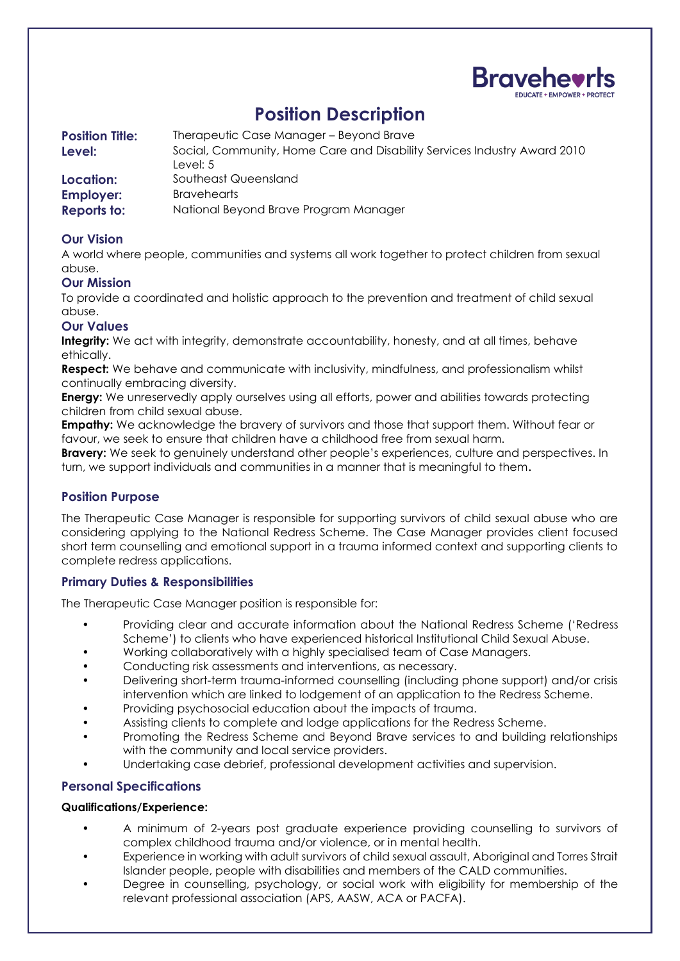

# **Position Description**

| <b>Position Title:</b> | Therapeutic Case Manager - Beyond Brave                                  |
|------------------------|--------------------------------------------------------------------------|
| Level:                 | Social, Community, Home Care and Disability Services Industry Award 2010 |
|                        | Level: 5                                                                 |
| Location:              | Southeast Queensland                                                     |
| <b>Employer:</b>       | <b>Bravehearts</b>                                                       |
| <b>Reports to:</b>     | National Beyond Brave Program Manager                                    |

# **Our Vision**

A world where people, communities and systems all work together to protect children from sexual abuse.

## **Our Mission**

To provide a coordinated and holistic approach to the prevention and treatment of child sexual abuse.

## **Our Values**

**Integrity:** We act with integrity, demonstrate accountability, honesty, and at all times, behave ethically.

**Respect:** We behave and communicate with inclusivity, mindfulness, and professionalism whilst continually embracing diversity.

**Energy:** We unreservedly apply ourselves using all efforts, power and abilities towards protecting children from child sexual abuse.

**Empathy:** We acknowledge the bravery of survivors and those that support them. Without fear or favour, we seek to ensure that children have a childhood free from sexual harm.

**Bravery:** We seek to genuinely understand other people's experiences, culture and perspectives. In turn, we support individuals and communities in a manner that is meaningful to them**.** 

#### **Position Purpose**

The Therapeutic Case Manager is responsible for supporting survivors of child sexual abuse who are considering applying to the National Redress Scheme. The Case Manager provides client focused short term counselling and emotional support in a trauma informed context and supporting clients to complete redress applications.

#### **Primary Duties & Responsibilities**

The Therapeutic Case Manager position is responsible for:

- Providing clear and accurate information about the National Redress Scheme ('Redress Scheme') to clients who have experienced historical Institutional Child Sexual Abuse.
- Working collaboratively with a highly specialised team of Case Managers.
- Conducting risk assessments and interventions, as necessary.
- Delivering short-term trauma-informed counselling (including phone support) and/or crisis intervention which are linked to lodgement of an application to the Redress Scheme.
- Providing psychosocial education about the impacts of trauma.
- Assisting clients to complete and lodge applications for the Redress Scheme.
- Promoting the Redress Scheme and Beyond Brave services to and building relationships with the community and local service providers.
- Undertaking case debrief, professional development activities and supervision.

#### **Personal Specifications**

#### **Qualifications/Experience:**

- A minimum of 2-years post graduate experience providing counselling to survivors of complex childhood trauma and/or violence, or in mental health.
- Experience in working with adult survivors of child sexual assault, Aboriginal and Torres Strait Islander people, people with disabilities and members of the CALD communities.
- Degree in counselling, psychology, or social work with eligibility for membership of the relevant professional association (APS, AASW, ACA or PACFA).